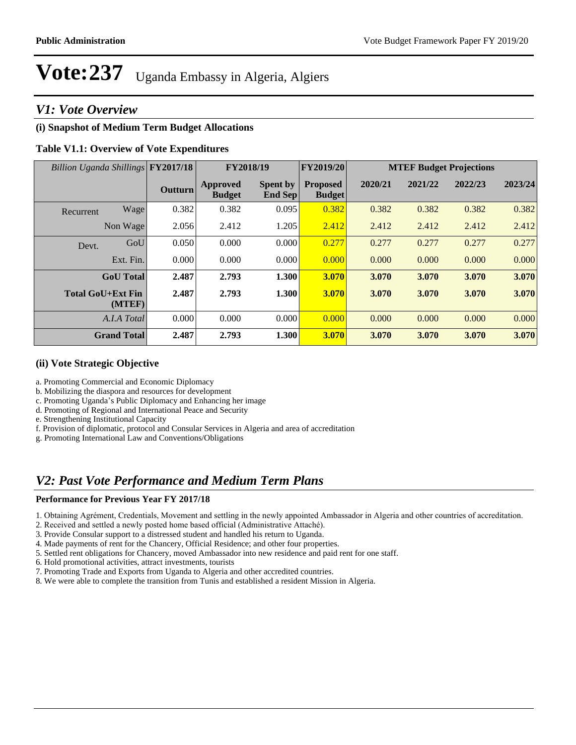## *V1: Vote Overview*

## **(i) Snapshot of Medium Term Budget Allocations**

## **Table V1.1: Overview of Vote Expenditures**

| Billion Uganda Shillings FY2017/18 |                | FY2018/19                        |                            | FY2019/20                        | <b>MTEF Budget Projections</b> |         |         |         |
|------------------------------------|----------------|----------------------------------|----------------------------|----------------------------------|--------------------------------|---------|---------|---------|
|                                    | <b>Outturn</b> | <b>Approved</b><br><b>Budget</b> | <b>Spent by</b><br>End Sep | <b>Proposed</b><br><b>Budget</b> | 2020/21                        | 2021/22 | 2022/23 | 2023/24 |
| Wage<br>Recurrent                  | 0.382          | 0.382                            | 0.095                      | 0.382                            | 0.382                          | 0.382   | 0.382   | 0.382   |
| Non Wage                           | 2.056          | 2.412                            | 1.205                      | 2.412                            | 2.412                          | 2.412   | 2.412   | 2.412   |
| GoU<br>Devt.                       | 0.050          | 0.000                            | 0.000                      | 0.277                            | 0.277                          | 0.277   | 0.277   | 0.277   |
| Ext. Fin.                          | 0.000          | 0.000                            | 0.000                      | 0.000                            | 0.000                          | 0.000   | 0.000   | 0.000   |
| <b>GoU</b> Total                   | 2.487          | 2.793                            | 1.300                      | 3.070                            | 3.070                          | 3.070   | 3.070   | 3.070   |
| <b>Total GoU+Ext Fin</b><br>(MTEF) | 2.487          | 2.793                            | 1.300                      | 3.070                            | 3.070                          | 3.070   | 3.070   | 3.070   |
| A.I.A Total                        | 0.000          | 0.000                            | 0.000                      | 0.000                            | 0.000                          | 0.000   | 0.000   | 0.000   |
| <b>Grand Total</b>                 | 2.487          | 2.793                            | 1.300                      | 3.070                            | 3.070                          | 3.070   | 3.070   | 3.070   |

### **(ii) Vote Strategic Objective**

- a. Promoting Commercial and Economic Diplomacy
- b. Mobilizing the diaspora and resources for development
- c. Promoting Uganda's Public Diplomacy and Enhancing her image
- d. Promoting of Regional and International Peace and Security
- e. Strengthening Institutional Capacity
- f. Provision of diplomatic, protocol and Consular Services in Algeria and area of accreditation
- g. Promoting International Law and Conventions/Obligations

## *V2: Past Vote Performance and Medium Term Plans*

#### **Performance for Previous Year FY 2017/18**

- 1. Obtaining Agrément, Credentials, Movement and settling in the newly appointed Ambassador in Algeria and other countries of accreditation.
- 2. Received and settled a newly posted home based official (Administrative Attaché).
- 3. Provide Consular support to a distressed student and handled his return to Uganda.
- 4. Made payments of rent for the Chancery, Official Residence; and other four properties.
- 5. Settled rent obligations for Chancery, moved Ambassador into new residence and paid rent for one staff.
- 6. Hold promotional activities, attract investments, tourists
- 7. Promoting Trade and Exports from Uganda to Algeria and other accredited countries.
- 8. We were able to complete the transition from Tunis and established a resident Mission in Algeria.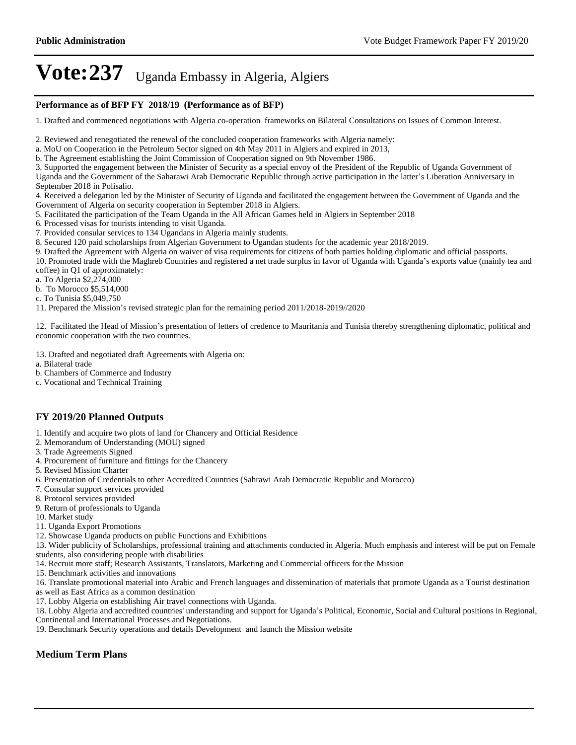#### **Performance as of BFP FY 2018/19 (Performance as of BFP)**

1. Drafted and commenced negotiations with Algeria co-operation frameworks on Bilateral Consultations on Issues of Common Interest.

2. Reviewed and renegotiated the renewal of the concluded cooperation frameworks with Algeria namely:

a. MoU on Cooperation in the Petroleum Sector signed on 4th May 2011 in Algiers and expired in 2013,

b. The Agreement establishing the Joint Commission of Cooperation signed on 9th November 1986.

3. Supported the engagement between the Minister of Security as a special envoy of the President of the Republic of Uganda Government of Uganda and the Government of the Saharawi Arab Democratic Republic through active participation in the latter's Liberation Anniversary in September 2018 in Polisalio.

4. Received a delegation led by the Minister of Security of Uganda and facilitated the engagement between the Government of Uganda and the Government of Algeria on security cooperation in September 2018 in Algiers.

5. Facilitated the participation of the Team Uganda in the All African Games held in Algiers in September 2018

6. Processed visas for tourists intending to visit Uganda.

7. Provided consular services to 134 Ugandans in Algeria mainly students.

8. Secured 120 paid scholarships from Algerian Government to Ugandan students for the academic year 2018/2019.

9. Drafted the Agreement with Algeria on waiver of visa requirements for citizens of both parties holding diplomatic and official passports.

10. Promoted trade with the Maghreb Countries and registered a net trade surplus in favor of Uganda with Uganda's exports value (mainly tea and coffee) in Q1 of approximately:

a. To Algeria \$2,274,000

b. To Morocco \$5,514,000

c. To Tunisia \$5,049,750

11. Prepared the Mission's revised strategic plan for the remaining period 2011/2018-2019//2020

12. Facilitated the Head of Mission's presentation of letters of credence to Mauritania and Tunisia thereby strengthening diplomatic, political and economic cooperation with the two countries.

13. Drafted and negotiated draft Agreements with Algeria on:

a. Bilateral trade

b. Chambers of Commerce and Industry

c. Vocational and Technical Training

## **FY 2019/20 Planned Outputs**

1. Identify and acquire two plots of land for Chancery and Official Residence

2. Memorandum of Understanding (MOU) signed

- 3. Trade Agreements Signed
- 4. Procurement of furniture and fittings for the Chancery
- 5. Revised Mission Charter
- 6. Presentation of Credentials to other Accredited Countries (Sahrawi Arab Democratic Republic and Morocco)
- 7. Consular support services provided
- 8. Protocol services provided
- 9. Return of professionals to Uganda
- 10. Market study
- 11. Uganda Export Promotions
- 12. Showcase Uganda products on public Functions and Exhibitions

13. Wider publicity of Scholarships, professional training and attachments conducted in Algeria. Much emphasis and interest will be put on Female students, also considering people with disabilities

14. Recruit more staff; Research Assistants, Translators, Marketing and Commercial officers for the Mission

15. Benchmark activities and innovations

16. Translate promotional material into Arabic and French languages and dissemination of materials that promote Uganda as a Tourist destination as well as East Africa as a common destination

17. Lobby Algeria on establishing Air travel connections with Uganda.

18. Lobby Algeria and accredited countries' understanding and support for Uganda's Political, Economic, Social and Cultural positions in Regional, Continental and International Processes and Negotiations.

19. Benchmark Security operations and details Development and launch the Mission website

## **Medium Term Plans**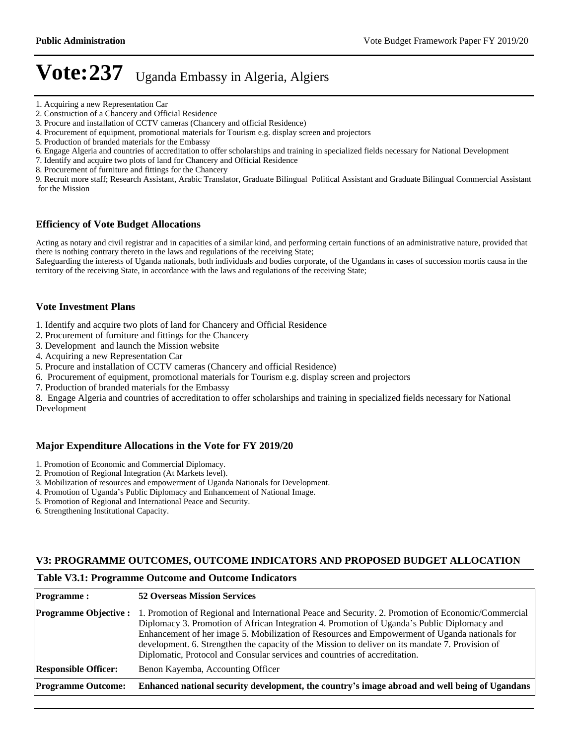- 5. Production of branded materials for the Embassy
- 6. Engage Algeria and countries of accreditation to offer scholarships and training in specialized fields necessary for National Development
- 7. Identify and acquire two plots of land for Chancery and Official Residence
- 8. Procurement of furniture and fittings for the Chancery

9. Recruit more staff; Research Assistant, Arabic Translator, Graduate Bilingual Political Assistant and Graduate Bilingual Commercial Assistant for the Mission

#### **Efficiency of Vote Budget Allocations**

Acting as notary and civil registrar and in capacities of a similar kind, and performing certain functions of an administrative nature, provided that there is nothing contrary thereto in the laws and regulations of the receiving State;

Safeguarding the interests of Uganda nationals, both individuals and bodies corporate, of the Ugandans in cases of succession mortis causa in the territory of the receiving State, in accordance with the laws and regulations of the receiving State;

#### **Vote Investment Plans**

- 1. Identify and acquire two plots of land for Chancery and Official Residence
- 2. Procurement of furniture and fittings for the Chancery
- 3. Development and launch the Mission website
- 4. Acquiring a new Representation Car
- 5. Procure and installation of CCTV cameras (Chancery and official Residence)
- 6. Procurement of equipment, promotional materials for Tourism e.g. display screen and projectors
- 7. Production of branded materials for the Embassy

8. Engage Algeria and countries of accreditation to offer scholarships and training in specialized fields necessary for National Development

#### **Major Expenditure Allocations in the Vote for FY 2019/20**

- 1. Promotion of Economic and Commercial Diplomacy.
- 2. Promotion of Regional Integration (At Markets level).
- 3. Mobilization of resources and empowerment of Uganda Nationals for Development.
- 4. Promotion of Uganda's Public Diplomacy and Enhancement of National Image.
- 5. Promotion of Regional and International Peace and Security.
- 6. Strengthening Institutional Capacity.

#### **V3: PROGRAMME OUTCOMES, OUTCOME INDICATORS AND PROPOSED BUDGET ALLOCATION**

#### **Table V3.1: Programme Outcome and Outcome Indicators**

| <b>Programme:</b>            | <b>52 Overseas Mission Services</b>                                                                                                                                                                                                                                                                                                                                                                                                                                                  |
|------------------------------|--------------------------------------------------------------------------------------------------------------------------------------------------------------------------------------------------------------------------------------------------------------------------------------------------------------------------------------------------------------------------------------------------------------------------------------------------------------------------------------|
| <b>Programme Objective :</b> | 1. Promotion of Regional and International Peace and Security. 2. Promotion of Economic/Commercial<br>Diplomacy 3. Promotion of African Integration 4. Promotion of Uganda's Public Diplomacy and<br>Enhancement of her image 5. Mobilization of Resources and Empowerment of Uganda nationals for<br>development. 6. Strengthen the capacity of the Mission to deliver on its mandate 7. Provision of<br>Diplomatic, Protocol and Consular services and countries of accreditation. |
| <b>Responsible Officer:</b>  | Benon Kayemba, Accounting Officer                                                                                                                                                                                                                                                                                                                                                                                                                                                    |
| <b>Programme Outcome:</b>    | Enhanced national security development, the country's image abroad and well being of Ugandans                                                                                                                                                                                                                                                                                                                                                                                        |

<sup>1.</sup> Acquiring a new Representation Car

<sup>2.</sup> Construction of a Chancery and Official Residence

<sup>3.</sup> Procure and installation of CCTV cameras (Chancery and official Residence)

<sup>4.</sup> Procurement of equipment, promotional materials for Tourism e.g. display screen and projectors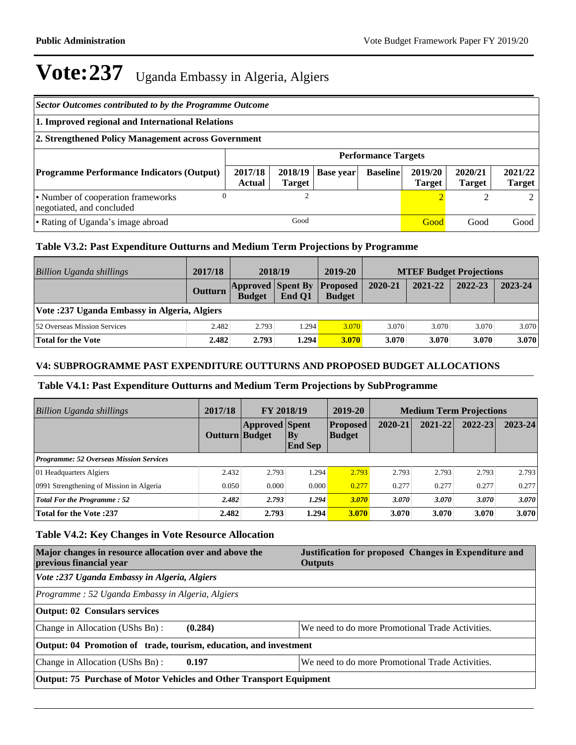| Sector Outcomes contributed to by the Programme Outcome                                                     |                            |                          |           |                 |                          |                          |                          |
|-------------------------------------------------------------------------------------------------------------|----------------------------|--------------------------|-----------|-----------------|--------------------------|--------------------------|--------------------------|
| 1. Improved regional and International Relations                                                            |                            |                          |           |                 |                          |                          |                          |
| 2. Strengthened Policy Management across Government                                                         |                            |                          |           |                 |                          |                          |                          |
|                                                                                                             | <b>Performance Targets</b> |                          |           |                 |                          |                          |                          |
| <b>Programme Performance Indicators (Output)</b>                                                            | 2017/18<br>Actual          | 2018/19<br><b>Target</b> | Base year | <b>Baseline</b> | 2019/20<br><b>Target</b> | 2020/21<br><b>Target</b> | 2021/22<br><b>Target</b> |
| $\overline{c}$<br>$\Omega$<br>$\bigcirc$<br>• Number of cooperation frameworks<br>negotiated, and concluded |                            |                          |           |                 |                          |                          |                          |
| Good<br>• Rating of Uganda's image abroad<br>Good<br>Good                                                   |                            |                          |           |                 | Good                     |                          |                          |

## **Table V3.2: Past Expenditure Outturns and Medium Term Projections by Programme**

| Billion Uganda shillings                     | 2017/18 | 2018/19                                   |        | 2019-20                          |         | <b>MTEF Budget Projections</b> |         |         |
|----------------------------------------------|---------|-------------------------------------------|--------|----------------------------------|---------|--------------------------------|---------|---------|
|                                              | Outturn | <b>Approved Spent By</b><br><b>Budget</b> | End O1 | <b>Proposed</b><br><b>Budget</b> | 2020-21 | 2021-22                        | 2022-23 | 2023-24 |
| Vote :237 Uganda Embassy in Algeria, Algiers |         |                                           |        |                                  |         |                                |         |         |
| <b>52 Overseas Mission Services</b>          | 2.482   | 2.793                                     | 1.294  | 3.070                            | 3.070   | 3.070                          | 3.070   | 3.070   |
| Total for the Vote                           | 2.482   | 2.793                                     | 1.294  | <b>3.070</b>                     | 3.070   | 3.070                          | 3.070   | 3.070   |

## **V4: SUBPROGRAMME PAST EXPENDITURE OUTTURNS AND PROPOSED BUDGET ALLOCATIONS**

## **Table V4.1: Past Expenditure Outturns and Medium Term Projections by SubProgramme**

| <b>Billion Uganda shillings</b>                | 2017/18        | FY 2018/19            |                             | 2019-20                          | <b>Medium Term Projections</b> |         |         |             |
|------------------------------------------------|----------------|-----------------------|-----------------------------|----------------------------------|--------------------------------|---------|---------|-------------|
|                                                | Outturn Budget | <b>Approved Spent</b> | <b>By</b><br><b>End Sep</b> | <b>Proposed</b><br><b>Budget</b> | 2020-21                        | 2021-22 | 2022-23 | $2023 - 24$ |
| <b>Programme: 52 Overseas Mission Services</b> |                |                       |                             |                                  |                                |         |         |             |
| 01 Headquarters Algiers                        | 2.432          | 2.793                 | 1.294                       | 2.793                            | 2.793                          | 2.793   | 2.793   | 2.793       |
| 0991 Strengthening of Mission in Algeria       | 0.050          | 0.000                 | 0.000                       | 0.277                            | 0.277                          | 0.277   | 0.277   | 0.277       |
| <b>Total For the Programme: 52</b>             | 2.482          | 2.793                 | 1.294                       | 3.070                            | 3.070                          | 3.070   | 3.070   | 3.070       |
| <b>Total for the Vote :237</b>                 | 2.482          | 2.793                 | 1.294                       | <b>3.070</b>                     | 3.070                          | 3.070   | 3.070   | 3.070       |

## **Table V4.2: Key Changes in Vote Resource Allocation**

| Major changes in resource allocation over and above the<br>previous financial year | Justification for proposed Changes in Expenditure and<br><b>Outputs</b> |  |  |  |  |
|------------------------------------------------------------------------------------|-------------------------------------------------------------------------|--|--|--|--|
| Vote :237 Uganda Embassy in Algeria, Algiers                                       |                                                                         |  |  |  |  |
| Programme: 52 Uganda Embassy in Algeria, Algiers                                   |                                                                         |  |  |  |  |
| <b>Output: 02 Consulars services</b>                                               |                                                                         |  |  |  |  |
| (0.284)<br>Change in Allocation (UShs Bn):                                         | We need to do more Promotional Trade Activities.                        |  |  |  |  |
| Output: 04 Promotion of trade, tourism, education, and investment                  |                                                                         |  |  |  |  |
| Change in Allocation (UShs Bn):<br>0.197                                           | We need to do more Promotional Trade Activities.                        |  |  |  |  |
| Output: 75 Purchase of Motor Vehicles and Other Transport Equipment                |                                                                         |  |  |  |  |